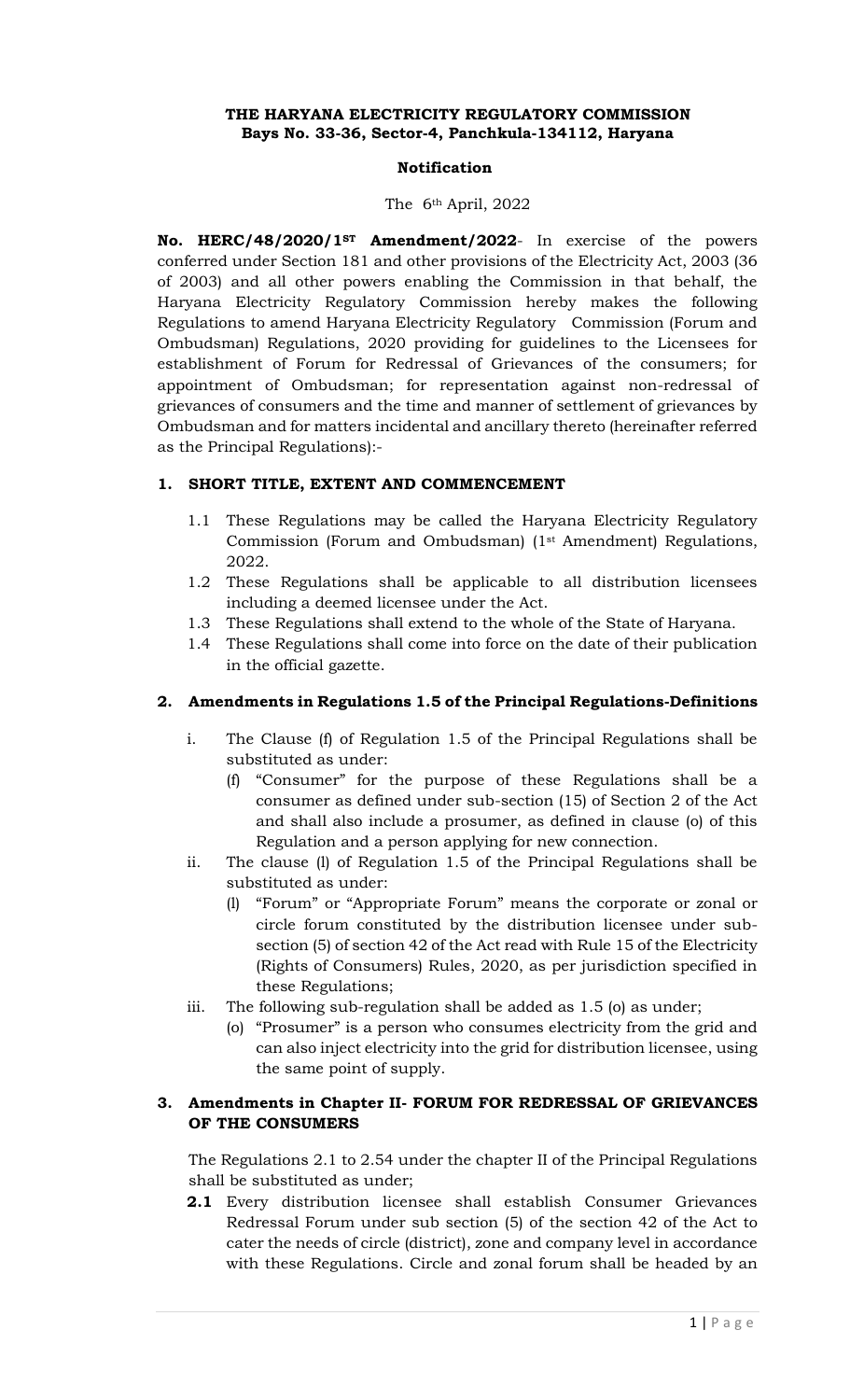### **THE HARYANA ELECTRICITY REGULATORY COMMISSION Bays No. 33-36, Sector-4, Panchkula-134112, Haryana**

#### **Notification**

#### The 6th April, 2022

**No. HERC/48/2020/1ST Amendment/2022**- In exercise of the powers conferred under Section 181 and other provisions of the Electricity Act, 2003 (36 of 2003) and all other powers enabling the Commission in that behalf, the Haryana Electricity Regulatory Commission hereby makes the following Regulations to amend Haryana Electricity Regulatory Commission (Forum and Ombudsman) Regulations, 2020 providing for guidelines to the Licensees for establishment of Forum for Redressal of Grievances of the consumers; for appointment of Ombudsman; for representation against non-redressal of grievances of consumers and the time and manner of settlement of grievances by Ombudsman and for matters incidental and ancillary thereto (hereinafter referred as the Principal Regulations):-

### **1. SHORT TITLE, EXTENT AND COMMENCEMENT**

- 1.1 These Regulations may be called the Haryana Electricity Regulatory Commission (Forum and Ombudsman) (1st Amendment) Regulations, 2022.
- 1.2 These Regulations shall be applicable to all distribution licensees including a deemed licensee under the Act.
- 1.3 These Regulations shall extend to the whole of the State of Haryana.
- 1.4 These Regulations shall come into force on the date of their publication in the official gazette.

### **2. Amendments in Regulations 1.5 of the Principal Regulations-Definitions**

- i. The Clause (f) of Regulation 1.5 of the Principal Regulations shall be substituted as under:
	- (f) "Consumer" for the purpose of these Regulations shall be a consumer as defined under sub-section (15) of Section 2 of the Act and shall also include a prosumer, as defined in clause (o) of this Regulation and a person applying for new connection.
- ii. The clause (l) of Regulation 1.5 of the Principal Regulations shall be substituted as under:
	- (l) "Forum" or "Appropriate Forum" means the corporate or zonal or circle forum constituted by the distribution licensee under subsection (5) of section 42 of the Act read with Rule 15 of the Electricity (Rights of Consumers) Rules, 2020, as per jurisdiction specified in these Regulations;
- iii. The following sub-regulation shall be added as 1.5 (o) as under;
	- (o) "Prosumer" is a person who consumes electricity from the grid and can also inject electricity into the grid for distribution licensee, using the same point of supply.

### **3. Amendments in Chapter II- FORUM FOR REDRESSAL OF GRIEVANCES OF THE CONSUMERS**

The Regulations 2.1 to 2.54 under the chapter II of the Principal Regulations shall be substituted as under;

**2.1** Every distribution licensee shall establish Consumer Grievances Redressal Forum under sub section (5) of the section 42 of the Act to cater the needs of circle (district), zone and company level in accordance with these Regulations. Circle and zonal forum shall be headed by an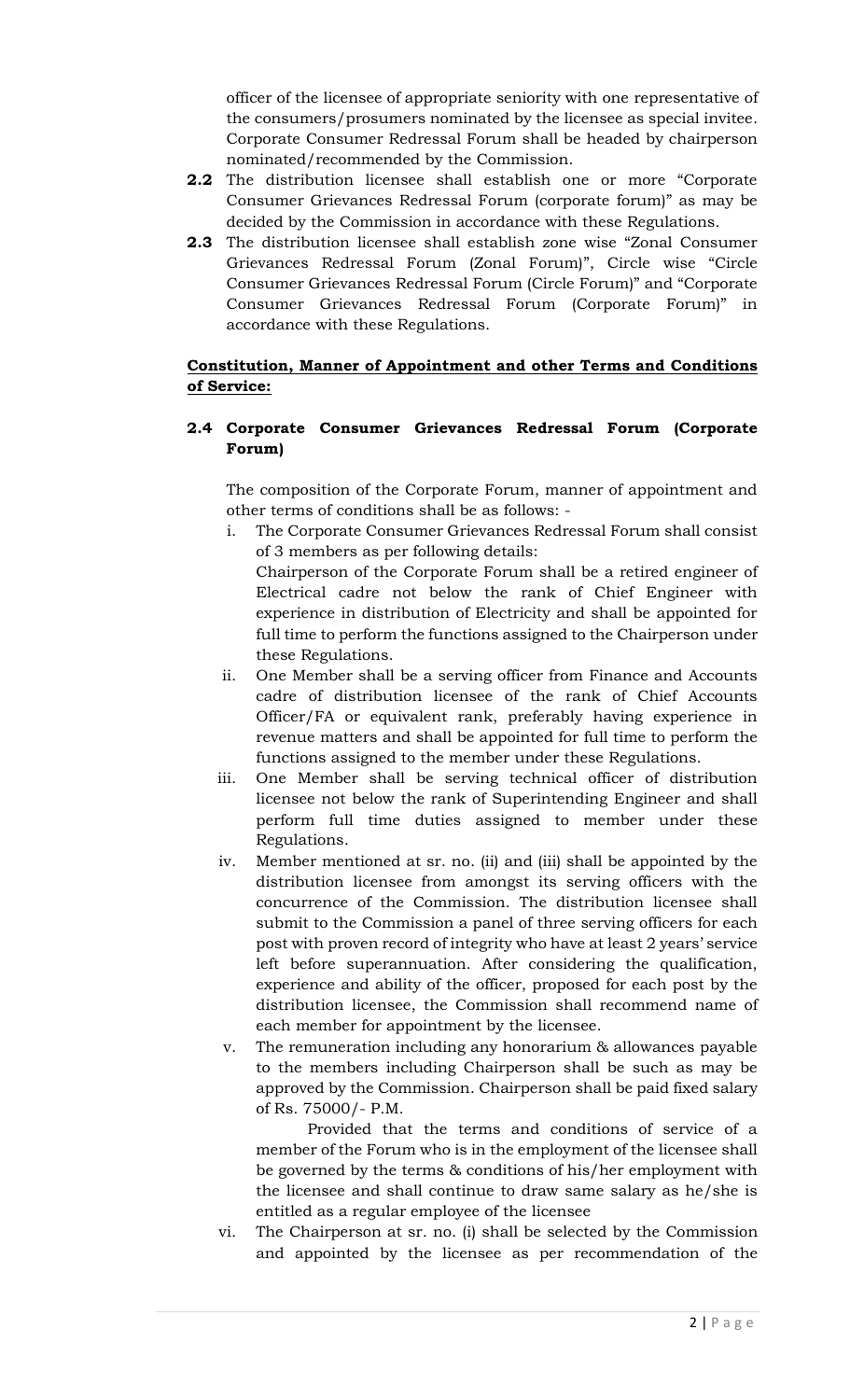officer of the licensee of appropriate seniority with one representative of the consumers/prosumers nominated by the licensee as special invitee. Corporate Consumer Redressal Forum shall be headed by chairperson nominated/recommended by the Commission.

- **2.2** The distribution licensee shall establish one or more "Corporate Consumer Grievances Redressal Forum (corporate forum)" as may be decided by the Commission in accordance with these Regulations.
- **2.3** The distribution licensee shall establish zone wise "Zonal Consumer Grievances Redressal Forum (Zonal Forum)", Circle wise "Circle Consumer Grievances Redressal Forum (Circle Forum)" and "Corporate Consumer Grievances Redressal Forum (Corporate Forum)" in accordance with these Regulations.

# **Constitution, Manner of Appointment and other Terms and Conditions of Service:**

### **2.4 Corporate Consumer Grievances Redressal Forum (Corporate Forum)**

The composition of the Corporate Forum, manner of appointment and other terms of conditions shall be as follows: -

i. The Corporate Consumer Grievances Redressal Forum shall consist of 3 members as per following details:

Chairperson of the Corporate Forum shall be a retired engineer of Electrical cadre not below the rank of Chief Engineer with experience in distribution of Electricity and shall be appointed for full time to perform the functions assigned to the Chairperson under these Regulations.

- ii. One Member shall be a serving officer from Finance and Accounts cadre of distribution licensee of the rank of Chief Accounts Officer/FA or equivalent rank, preferably having experience in revenue matters and shall be appointed for full time to perform the functions assigned to the member under these Regulations.
- iii. One Member shall be serving technical officer of distribution licensee not below the rank of Superintending Engineer and shall perform full time duties assigned to member under these Regulations.
- iv. Member mentioned at sr. no. (ii) and (iii) shall be appointed by the distribution licensee from amongst its serving officers with the concurrence of the Commission. The distribution licensee shall submit to the Commission a panel of three serving officers for each post with proven record of integrity who have at least 2 years' service left before superannuation. After considering the qualification, experience and ability of the officer, proposed for each post by the distribution licensee, the Commission shall recommend name of each member for appointment by the licensee.
- v. The remuneration including any honorarium & allowances payable to the members including Chairperson shall be such as may be approved by the Commission. Chairperson shall be paid fixed salary of Rs. 75000/- P.M.

 Provided that the terms and conditions of service of a member of the Forum who is in the employment of the licensee shall be governed by the terms & conditions of his/her employment with the licensee and shall continue to draw same salary as he/she is entitled as a regular employee of the licensee

vi. The Chairperson at sr. no. (i) shall be selected by the Commission and appointed by the licensee as per recommendation of the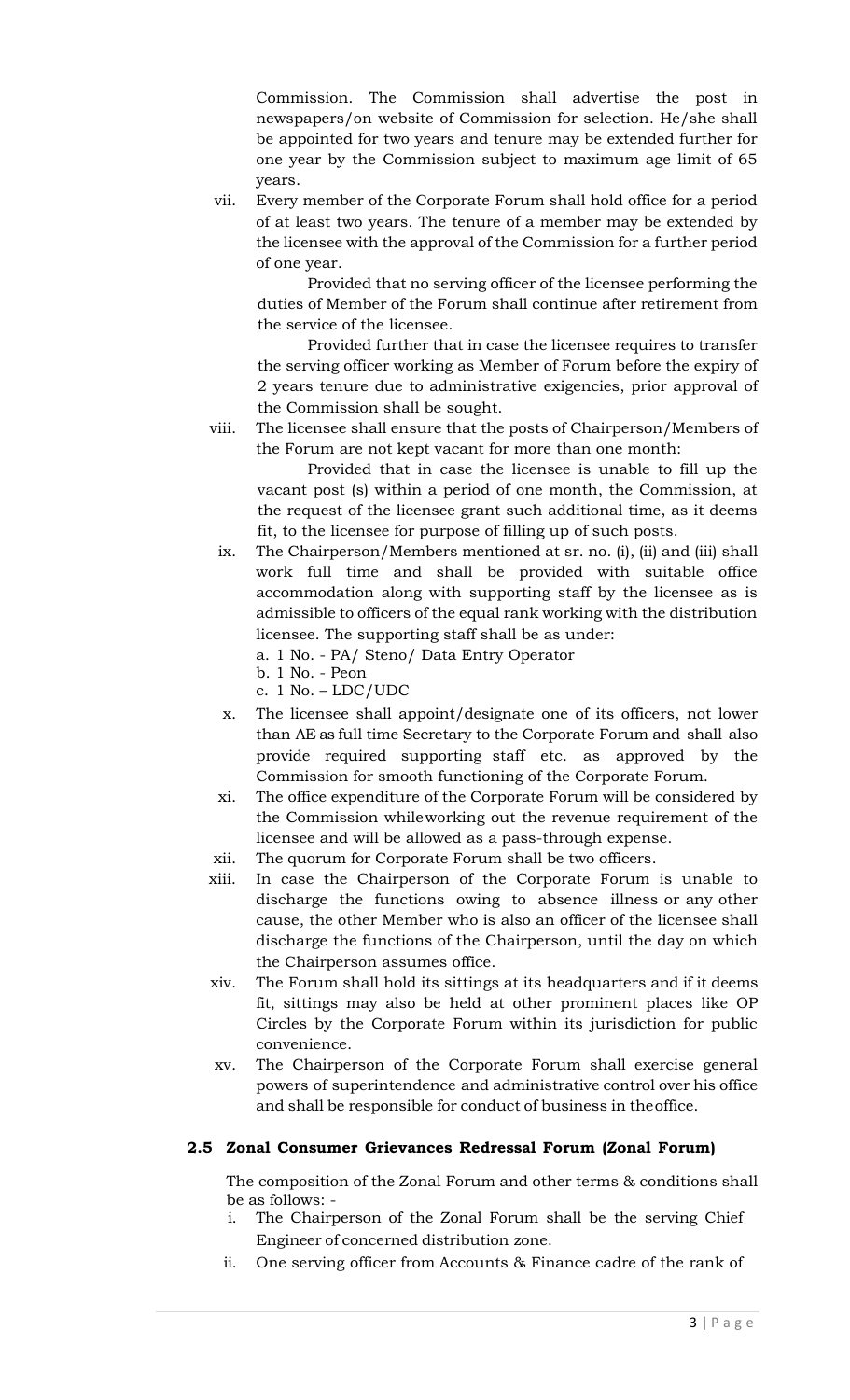Commission. The Commission shall advertise the post in newspapers/on website of Commission for selection. He/she shall be appointed for two years and tenure may be extended further for one year by the Commission subject to maximum age limit of 65 years.

vii. Every member of the Corporate Forum shall hold office for a period of at least two years. The tenure of a member may be extended by the licensee with the approval of the Commission for a further period of one year.

Provided that no serving officer of the licensee performing the duties of Member of the Forum shall continue after retirement from the service of the licensee.

Provided further that in case the licensee requires to transfer the serving officer working as Member of Forum before the expiry of 2 years tenure due to administrative exigencies, prior approval of the Commission shall be sought.

viii. The licensee shall ensure that the posts of Chairperson/Members of the Forum are not kept vacant for more than one month:

Provided that in case the licensee is unable to fill up the vacant post (s) within a period of one month, the Commission, at the request of the licensee grant such additional time, as it deems fit, to the licensee for purpose of filling up of such posts.

- ix. The Chairperson/Members mentioned at sr. no. (i), (ii) and (iii) shall work full time and shall be provided with suitable office accommodation along with supporting staff by the licensee as is admissible to officers of the equal rank working with the distribution licensee. The supporting staff shall be as under:
	- a. 1 No. PA/ Steno/ Data Entry Operator
	- b. 1 No. Peon
	- c.  $1$  No.  $-LDC/UDC$
- x. The licensee shall appoint/designate one of its officers, not lower than AE as full time Secretary to the Corporate Forum and shall also provide required supporting staff etc. as approved by the Commission for smooth functioning of the Corporate Forum.
- xi. The office expenditure of the Corporate Forum will be considered by the Commission whileworking out the revenue requirement of the licensee and will be allowed as a pass-through expense.
- xii. The quorum for Corporate Forum shall be two officers.
- xiii. In case the Chairperson of the Corporate Forum is unable to discharge the functions owing to absence illness or any other cause, the other Member who is also an officer of the licensee shall discharge the functions of the Chairperson, until the day on which the Chairperson assumes office.
- xiv. The Forum shall hold its sittings at its headquarters and if it deems fit, sittings may also be held at other prominent places like OP Circles by the Corporate Forum within its jurisdiction for public convenience.
- xv. The Chairperson of the Corporate Forum shall exercise general powers of superintendence and administrative control over his office and shall be responsible for conduct of business in theoffice.

# **2.5 Zonal Consumer Grievances Redressal Forum (Zonal Forum)**

The composition of the Zonal Forum and other terms & conditions shall be as follows: -

- i. The Chairperson of the Zonal Forum shall be the serving Chief Engineer of concerned distribution zone.
- ii. One serving officer from Accounts & Finance cadre of the rank of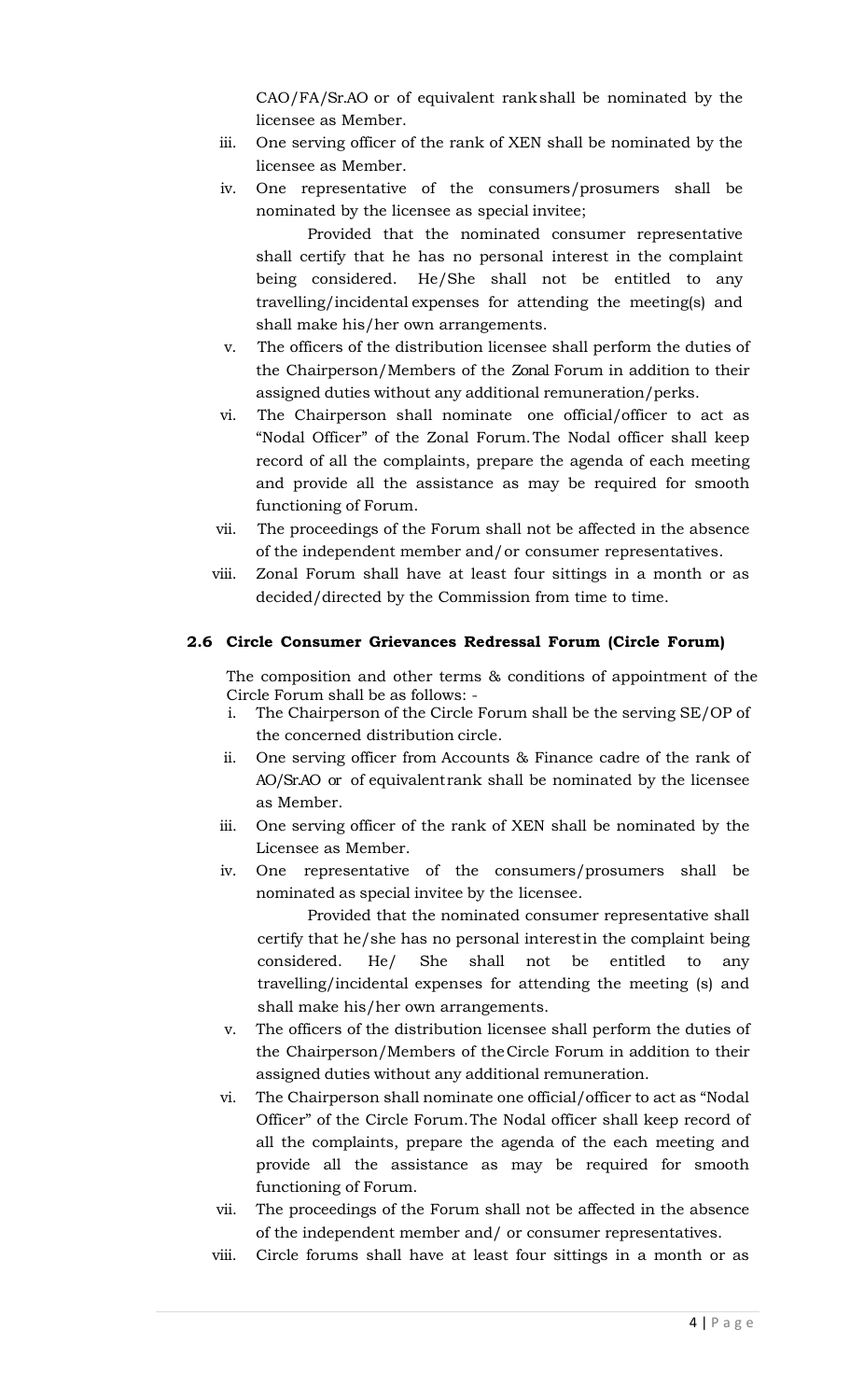CAO/FA/Sr.AO or of equivalent rankshall be nominated by the licensee as Member.

- iii. One serving officer of the rank of XEN shall be nominated by the licensee as Member.
- iv. One representative of the consumers/prosumers shall be nominated by the licensee as special invitee;

Provided that the nominated consumer representative shall certify that he has no personal interest in the complaint being considered. He/She shall not be entitled to any travelling/incidental expenses for attending the meeting(s) and shall make his/her own arrangements.

- v. The officers of the distribution licensee shall perform the duties of the Chairperson/Members of the Zonal Forum in addition to their assigned duties without any additional remuneration/perks.
- vi. The Chairperson shall nominate one official/officer to act as "Nodal Officer" of the Zonal Forum.The Nodal officer shall keep record of all the complaints, prepare the agenda of each meeting and provide all the assistance as may be required for smooth functioning of Forum.
- vii. The proceedings of the Forum shall not be affected in the absence of the independent member and/or consumer representatives.
- viii.Zonal Forum shall have at least four sittings in a month or as decided/directed by the Commission from time to time.

### **2.6 Circle Consumer Grievances Redressal Forum (Circle Forum)**

The composition and other terms & conditions of appointment of the Circle Forum shall be as follows: -

- i. The Chairperson of the Circle Forum shall be the serving SE/OP of the concerned distribution circle.
- ii. One serving officer from Accounts & Finance cadre of the rank of AO/Sr.AO or of equivalentrank shall be nominated by the licensee as Member.
- iii. One serving officer of the rank of XEN shall be nominated by the Licensee as Member.
- iv. One representative of the consumers/prosumers shall be nominated as special invitee by the licensee.

Provided that the nominated consumer representative shall certify that he/she has no personal interestin the complaint being considered. He/ She shall not be entitled to any travelling/incidental expenses for attending the meeting (s) and shall make his/her own arrangements.

- v. The officers of the distribution licensee shall perform the duties of the Chairperson/Members of theCircle Forum in addition to their assigned duties without any additional remuneration.
- vi. The Chairperson shall nominate one official/officer to act as "Nodal Officer" of the Circle Forum.The Nodal officer shall keep record of all the complaints, prepare the agenda of the each meeting and provide all the assistance as may be required for smooth functioning of Forum.
- vii. The proceedings of the Forum shall not be affected in the absence of the independent member and/ or consumer representatives.
- viii. Circle forums shall have at least four sittings in a month or as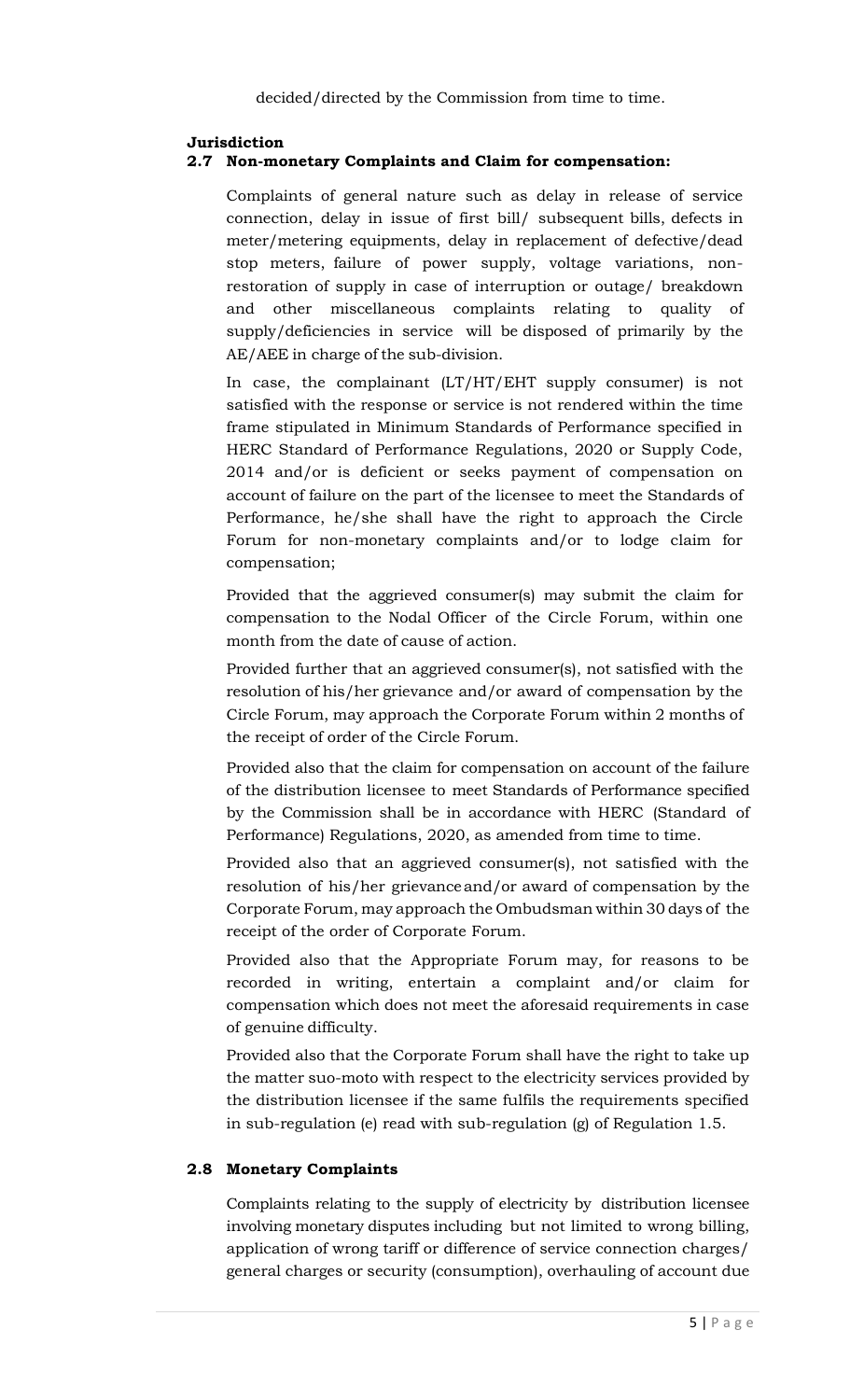### **Jurisdiction**

### **2.7 Non-monetary Complaints and Claim for compensation:**

Complaints of general nature such as delay in release of service connection, delay in issue of first bill/ subsequent bills, defects in meter/metering equipments, delay in replacement of defective/dead stop meters, failure of power supply, voltage variations, nonrestoration of supply in case of interruption or outage/ breakdown and other miscellaneous complaints relating to quality of supply/deficiencies in service will be disposed of primarily by the AE/AEE in charge of the sub-division.

In case, the complainant (LT/HT/EHT supply consumer) is not satisfied with the response or service is not rendered within the time frame stipulated in Minimum Standards of Performance specified in HERC Standard of Performance Regulations, 2020 or Supply Code, 2014 and/or is deficient or seeks payment of compensation on account of failure on the part of the licensee to meet the Standards of Performance, he/she shall have the right to approach the Circle Forum for non-monetary complaints and/or to lodge claim for compensation;

Provided that the aggrieved consumer(s) may submit the claim for compensation to the Nodal Officer of the Circle Forum, within one month from the date of cause of action.

Provided further that an aggrieved consumer(s), not satisfied with the resolution of his/her grievance and/or award of compensation by the Circle Forum, may approach the Corporate Forum within 2 months of the receipt of order of the Circle Forum.

Provided also that the claim for compensation on account of the failure of the distribution licensee to meet Standards of Performance specified by the Commission shall be in accordance with HERC (Standard of Performance) Regulations, 2020, as amended from time to time.

Provided also that an aggrieved consumer(s), not satisfied with the resolution of his/her grievanceand/or award of compensation by the Corporate Forum, may approach the Ombudsman within 30 days of the receipt of the order of Corporate Forum.

Provided also that the Appropriate Forum may, for reasons to be recorded in writing, entertain a complaint and/or claim for compensation which does not meet the aforesaid requirements in case of genuine difficulty.

Provided also that the Corporate Forum shall have the right to take up the matter suo-moto with respect to the electricity services provided by the distribution licensee if the same fulfils the requirements specified in sub-regulation (e) read with sub-regulation (g) of Regulation 1.5.

### **2.8 Monetary Complaints**

Complaints relating to the supply of electricity by distribution licensee involving monetary disputes including but not limited to wrong billing, application of wrong tariff or difference of service connection charges/ general charges or security (consumption), overhauling of account due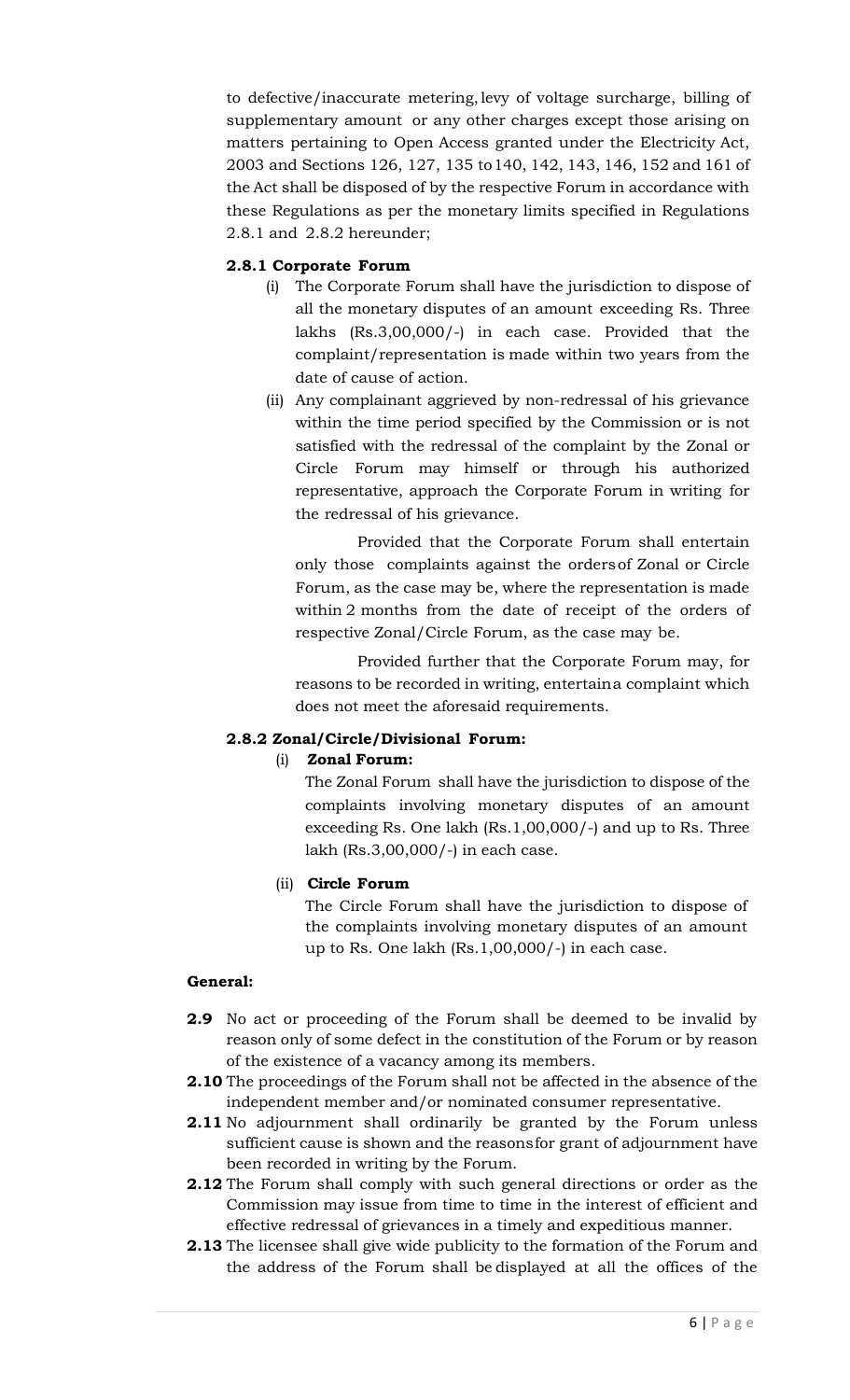to defective/inaccurate metering,levy of voltage surcharge, billing of supplementary amount or any other charges except those arising on matters pertaining to Open Access granted under the Electricity Act, 2003 and Sections 126, 127, 135 to140, 142, 143, 146, 152 and 161 of the Act shall be disposed of by the respective Forum in accordance with these Regulations as per the monetary limits specified in Regulations 2.8.1 and 2.8.2 hereunder;

# **2.8.1 Corporate Forum**

- (i) The Corporate Forum shall have the jurisdiction to dispose of all the monetary disputes of an amount exceeding Rs. Three lakhs (Rs.3,00,000/-) in each case. Provided that the complaint/representation is made within two years from the date of cause of action.
- (ii) Any complainant aggrieved by non-redressal of his grievance within the time period specified by the Commission or is not satisfied with the redressal of the complaint by the Zonal or Circle Forum may himself or through his authorized representative, approach the Corporate Forum in writing for the redressal of his grievance.

Provided that the Corporate Forum shall entertain only those complaints against the ordersof Zonal or Circle Forum, as the case may be, where the representation is made within 2 months from the date of receipt of the orders of respective Zonal/Circle Forum, as the case may be.

Provided further that the Corporate Forum may, for reasons to be recorded in writing, entertaina complaint which does not meet the aforesaid requirements.

# **2.8.2 Zonal/Circle/Divisional Forum:**

# (i) **Zonal Forum:**

The Zonal Forum shall have the jurisdiction to dispose of the complaints involving monetary disputes of an amount exceeding Rs. One lakh (Rs.1,00,000/-) and up to Rs. Three lakh (Rs.3,00,000/-) in each case.

# (ii) **Circle Forum**

The Circle Forum shall have the jurisdiction to dispose of the complaints involving monetary disputes of an amount up to Rs. One lakh (Rs.1,00,000/-) in each case.

# **General:**

- **2.9** No act or proceeding of the Forum shall be deemed to be invalid by reason only of some defect in the constitution of the Forum or by reason of the existence of a vacancy among its members.
- **2.10** The proceedings of the Forum shall not be affected in the absence of the independent member and/or nominated consumer representative.
- **2.11** No adjournment shall ordinarily be granted by the Forum unless sufficient cause is shown and the reasonsfor grant of adjournment have been recorded in writing by the Forum.
- **2.12** The Forum shall comply with such general directions or order as the Commission may issue from time to time in the interest of efficient and effective redressal of grievances in a timely and expeditious manner.
- **2.13** The licensee shall give wide publicity to the formation of the Forum and the address of the Forum shall be displayed at all the offices of the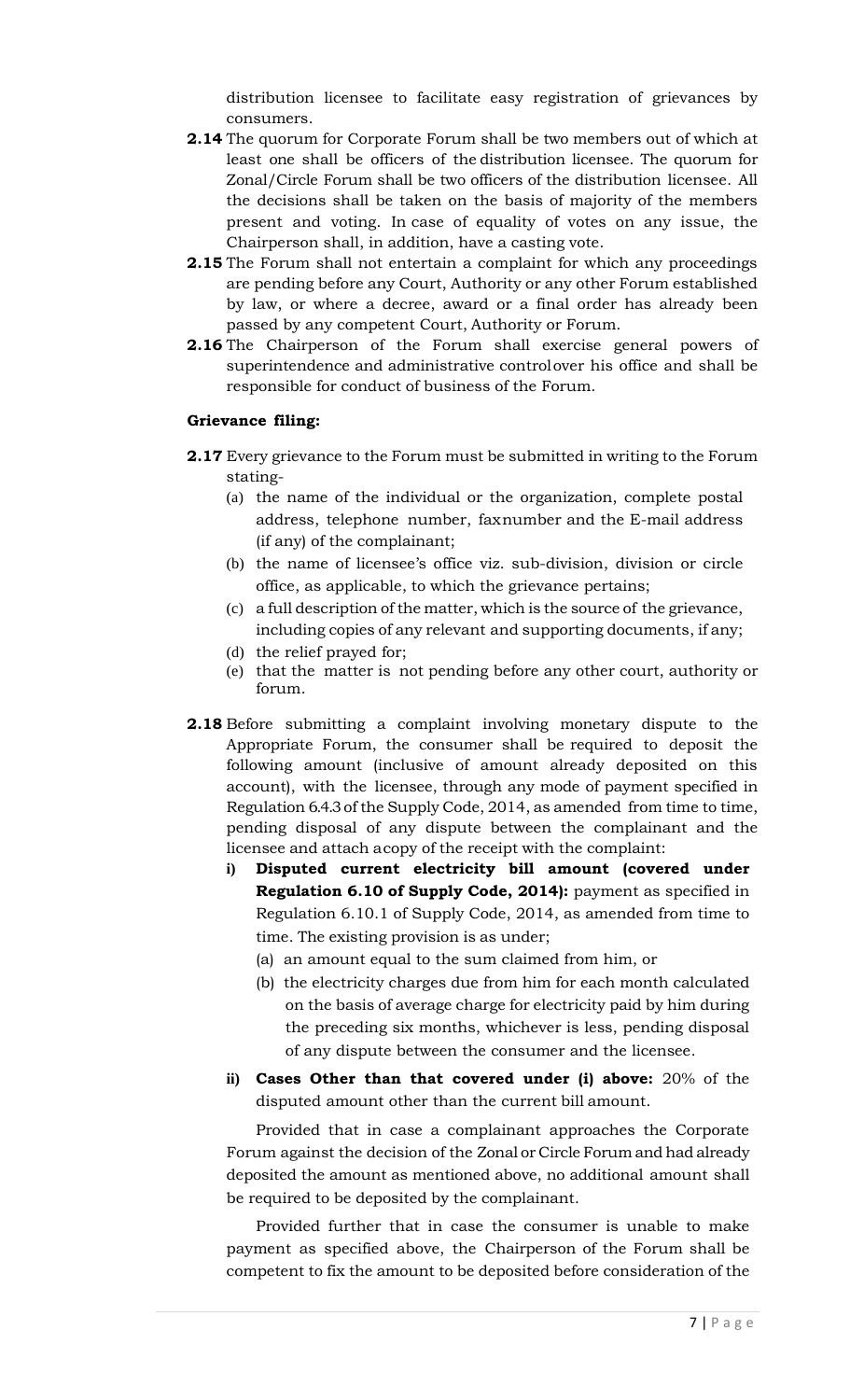distribution licensee to facilitate easy registration of grievances by consumers.

- **2.14** The quorum for Corporate Forum shall be two members out of which at least one shall be officers of the distribution licensee. The quorum for Zonal/Circle Forum shall be two officers of the distribution licensee. All the decisions shall be taken on the basis of majority of the members present and voting. In case of equality of votes on any issue, the Chairperson shall, in addition, have a casting vote.
- **2.15** The Forum shall not entertain a complaint for which any proceedings are pending before any Court, Authority or any other Forum established by law, or where a decree, award or a final order has already been passed by any competent Court, Authority or Forum.
- **2.16** The Chairperson of the Forum shall exercise general powers of superintendence and administrative controlover his office and shall be responsible for conduct of business of the Forum.

### **Grievance filing:**

- **2.17** Every grievance to the Forum must be submitted in writing to the Forum stating-
	- (a) the name of the individual or the organization, complete postal address, telephone number, faxnumber and the E-mail address (if any) of the complainant;
	- (b) the name of licensee's office viz. sub-division, division or circle office, as applicable, to which the grievance pertains;
	- (c) a full description of the matter, which is the source of the grievance, including copies of any relevant and supporting documents, if any;
	- (d) the relief prayed for;
	- (e) that the matter is not pending before any other court, authority or forum.
- **2.18** Before submitting a complaint involving monetary dispute to the Appropriate Forum, the consumer shall be required to deposit the following amount (inclusive of amount already deposited on this account), with the licensee, through any mode of payment specified in Regulation 6.4.3of the Supply Code, 2014, as amended from time to time, pending disposal of any dispute between the complainant and the licensee and attach acopy of the receipt with the complaint:
	- **i) Disputed current electricity bill amount (covered under Regulation 6.10 of Supply Code, 2014):** payment as specified in Regulation 6.10.1 of Supply Code, 2014, as amended from time to time. The existing provision is as under;
		- (a) an amount equal to the sum claimed from him, or
		- (b) the electricity charges due from him for each month calculated on the basis of average charge for electricity paid by him during the preceding six months, whichever is less, pending disposal of any dispute between the consumer and the licensee.
	- **ii) Cases Other than that covered under (i) above:** 20% of the disputed amount other than the current bill amount.

Provided that in case a complainant approaches the Corporate Forum against the decision of the Zonal or Circle Forum and had already deposited the amount as mentioned above, no additional amount shall be required to be deposited by the complainant.

Provided further that in case the consumer is unable to make payment as specified above, the Chairperson of the Forum shall be competent to fix the amount to be deposited before consideration of the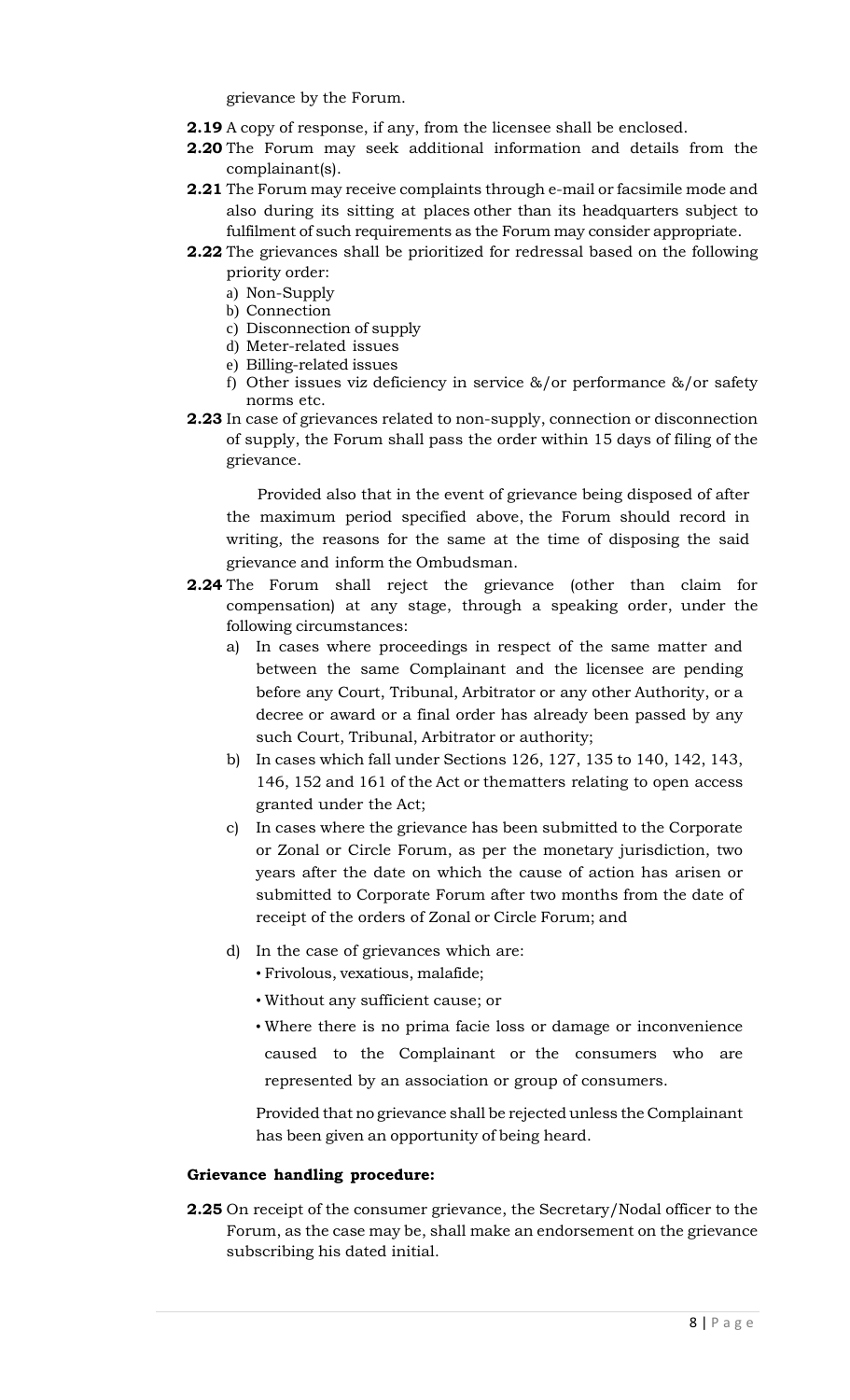grievance by the Forum.

- **2.19** A copy of response, if any, from the licensee shall be enclosed.
- **2.20** The Forum may seek additional information and details from the complainant(s).
- **2.21** The Forum may receive complaints through e-mail or facsimile mode and also during its sitting at places other than its headquarters subject to fulfilment of such requirements as the Forum may consider appropriate.
- **2.22** The grievances shall be prioritized for redressal based on the following priority order:
	- a) Non-Supply
	- b) Connection
	- c) Disconnection of supply
	- d) Meter-related issues
	- e) Billing-related issues
	- f) Other issues viz deficiency in service &/or performance &/or safety norms etc.
- **2.23** In case of grievances related to non-supply, connection or disconnection of supply, the Forum shall pass the order within 15 days of filing of the grievance.

Provided also that in the event of grievance being disposed of after the maximum period specified above, the Forum should record in writing, the reasons for the same at the time of disposing the said grievance and inform the Ombudsman.

- **2.24** The Forum shall reject the grievance (other than claim for compensation) at any stage, through a speaking order, under the following circumstances:
	- a) In cases where proceedings in respect of the same matter and between the same Complainant and the licensee are pending before any Court, Tribunal, Arbitrator or any other Authority, or a decree or award or a final order has already been passed by any such Court, Tribunal, Arbitrator or authority;
	- b) In cases which fall under Sections 126, 127, 135 to 140, 142, 143, 146, 152 and 161 of the Act or thematters relating to open access granted under the Act;
	- c) In cases where the grievance has been submitted to the Corporate or Zonal or Circle Forum, as per the monetary jurisdiction, two years after the date on which the cause of action has arisen or submitted to Corporate Forum after two months from the date of receipt of the orders of Zonal or Circle Forum; and
	- d) In the case of grievances which are:
		- Frivolous, vexatious, malafide;
		- Without any sufficient cause; or
		- Where there is no prima facie loss or damage or inconvenience caused to the Complainant or the consumers who are represented by an association or group of consumers.

Provided that no grievance shall be rejected unless the Complainant has been given an opportunity of being heard.

### **Grievance handling procedure:**

**2.25** On receipt of the consumer grievance, the Secretary/Nodal officer to the Forum, as the case may be, shall make an endorsement on the grievance subscribing his dated initial.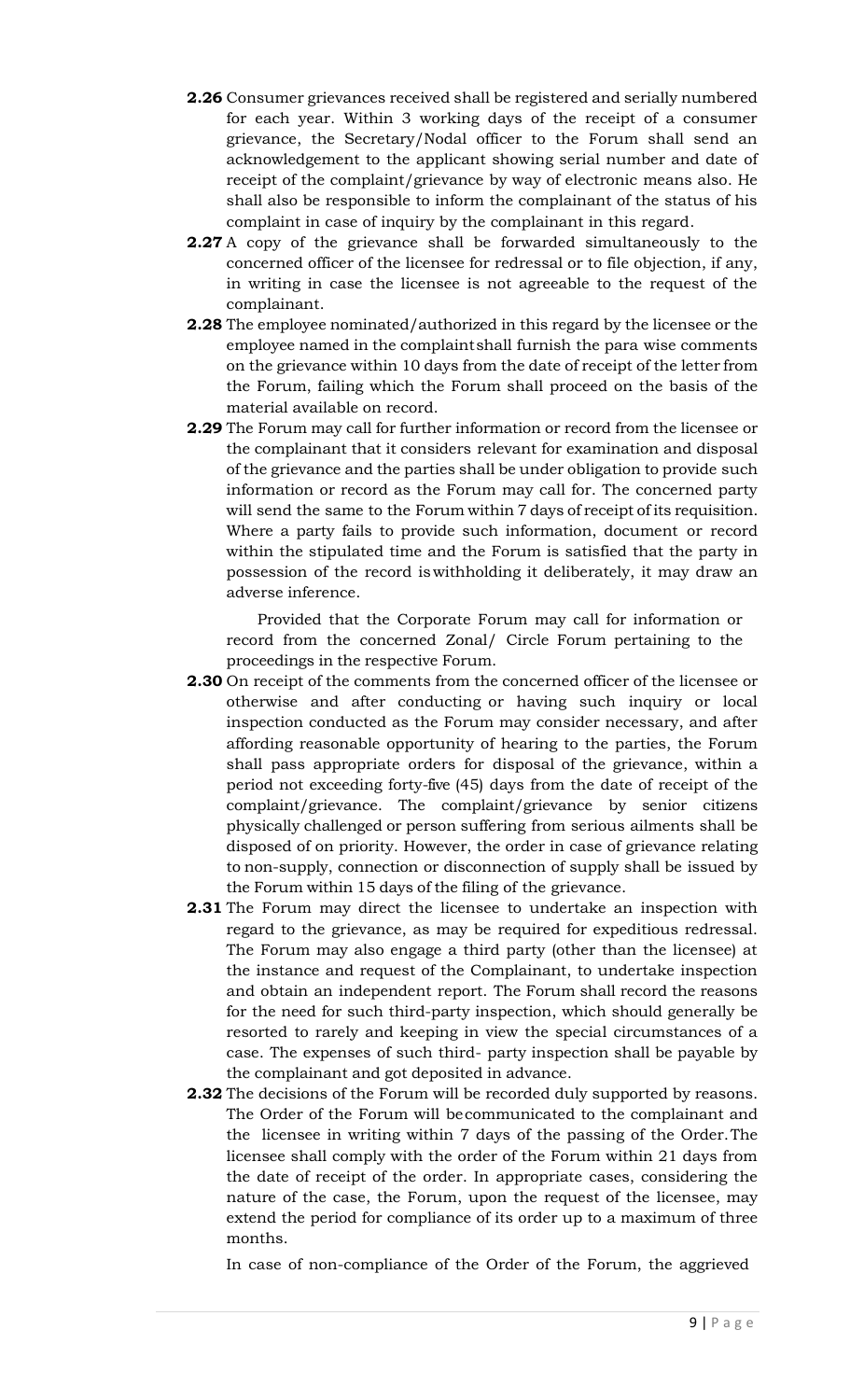- **2.26** Consumer grievances received shall be registered and serially numbered for each year. Within 3 working days of the receipt of a consumer grievance, the Secretary/Nodal officer to the Forum shall send an acknowledgement to the applicant showing serial number and date of receipt of the complaint/grievance by way of electronic means also. He shall also be responsible to inform the complainant of the status of his complaint in case of inquiry by the complainant in this regard.
- **2.27** A copy of the grievance shall be forwarded simultaneously to the concerned officer of the licensee for redressal or to file objection, if any, in writing in case the licensee is not agreeable to the request of the complainant.
- **2.28** The employee nominated/authorized in this regard by the licensee or the employee named in the complaintshall furnish the para wise comments on the grievance within 10 days from the date of receipt of the letter from the Forum, failing which the Forum shall proceed on the basis of the material available on record.
- **2.29** The Forum may call for further information or record from the licensee or the complainant that it considers relevant for examination and disposal of the grievance and the parties shall be under obligation to provide such information or record as the Forum may call for. The concerned party will send the same to the Forum within 7 days of receipt of its requisition. Where a party fails to provide such information, document or record within the stipulated time and the Forum is satisfied that the party in possession of the record iswithholding it deliberately, it may draw an adverse inference.

Provided that the Corporate Forum may call for information or record from the concerned Zonal/ Circle Forum pertaining to the proceedings in the respective Forum.

- **2.30** On receipt of the comments from the concerned officer of the licensee or otherwise and after conducting or having such inquiry or local inspection conducted as the Forum may consider necessary, and after affording reasonable opportunity of hearing to the parties, the Forum shall pass appropriate orders for disposal of the grievance, within a period not exceeding forty-five (45) days from the date of receipt of the complaint/grievance. The complaint/grievance by senior citizens physically challenged or person suffering from serious ailments shall be disposed of on priority. However, the order in case of grievance relating to non-supply, connection or disconnection of supply shall be issued by the Forum within 15 days of the filing of the grievance.
- **2.31** The Forum may direct the licensee to undertake an inspection with regard to the grievance, as may be required for expeditious redressal. The Forum may also engage a third party (other than the licensee) at the instance and request of the Complainant, to undertake inspection and obtain an independent report. The Forum shall record the reasons for the need for such third-party inspection, which should generally be resorted to rarely and keeping in view the special circumstances of a case. The expenses of such third- party inspection shall be payable by the complainant and got deposited in advance.
- **2.32** The decisions of the Forum will be recorded duly supported by reasons. The Order of the Forum will becommunicated to the complainant and the licensee in writing within 7 days of the passing of the Order.The licensee shall comply with the order of the Forum within 21 days from the date of receipt of the order. In appropriate cases, considering the nature of the case, the Forum, upon the request of the licensee, may extend the period for compliance of its order up to a maximum of three months.

In case of non-compliance of the Order of the Forum, the aggrieved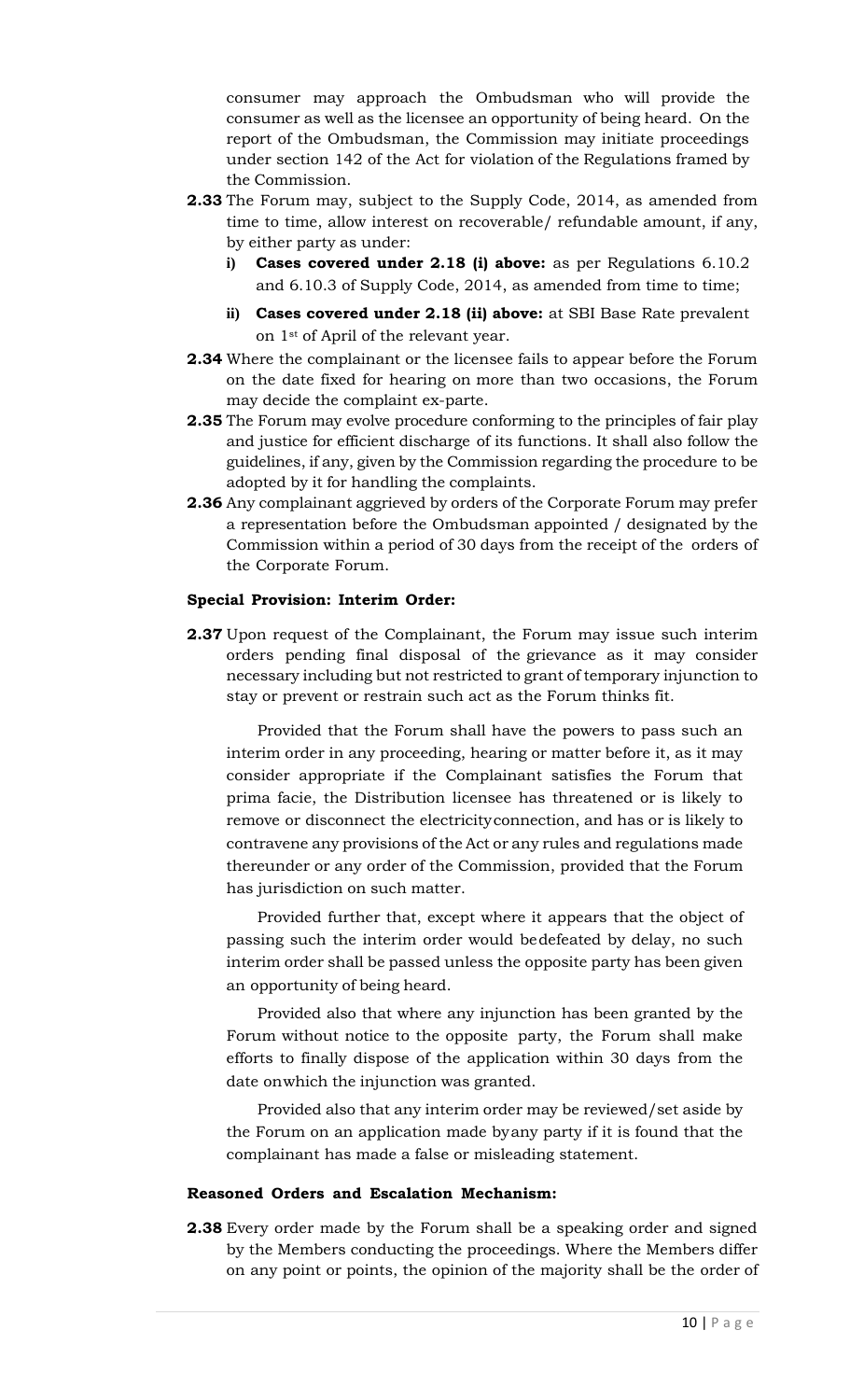consumer may approach the Ombudsman who will provide the consumer as well as the licensee an opportunity of being heard. On the report of the Ombudsman, the Commission may initiate proceedings under section 142 of the Act for violation of the Regulations framed by the Commission.

- **2.33** The Forum may, subject to the Supply Code, 2014, as amended from time to time, allow interest on recoverable/ refundable amount, if any, by either party as under:
	- **i) Cases covered under 2.18 (i) above:** as per Regulations 6.10.2 and 6.10.3 of Supply Code, 2014, as amended from time to time;
	- **ii) Cases covered under 2.18 (ii) above:** at SBI Base Rate prevalent on 1st of April of the relevant year.
- **2.34** Where the complainant or the licensee fails to appear before the Forum on the date fixed for hearing on more than two occasions, the Forum may decide the complaint ex-parte.
- **2.35** The Forum may evolve procedure conforming to the principles of fair play and justice for efficient discharge of its functions. It shall also follow the guidelines, if any, given by the Commission regarding the procedure to be adopted by it for handling the complaints.
- **2.36** Any complainant aggrieved by orders of the Corporate Forum may prefer a representation before the Ombudsman appointed / designated by the Commission within a period of 30 days from the receipt of the orders of the Corporate Forum.

### **Special Provision: Interim Order:**

**2.37** Upon request of the Complainant, the Forum may issue such interim orders pending final disposal of the grievance as it may consider necessary including but not restricted to grant of temporary injunction to stay or prevent or restrain such act as the Forum thinks fit.

Provided that the Forum shall have the powers to pass such an interim order in any proceeding, hearing or matter before it, as it may consider appropriate if the Complainant satisfies the Forum that prima facie, the Distribution licensee has threatened or is likely to remove or disconnect the electricityconnection, and has or is likely to contravene any provisions of the Act or any rules and regulations made thereunder or any order of the Commission, provided that the Forum has jurisdiction on such matter.

Provided further that, except where it appears that the object of passing such the interim order would bedefeated by delay, no such interim order shall be passed unless the opposite party has been given an opportunity of being heard.

Provided also that where any injunction has been granted by the Forum without notice to the opposite party, the Forum shall make efforts to finally dispose of the application within 30 days from the date onwhich the injunction was granted.

Provided also that any interim order may be reviewed/set aside by the Forum on an application made byany party if it is found that the complainant has made a false or misleading statement.

### **Reasoned Orders and Escalation Mechanism:**

**2.38** Every order made by the Forum shall be a speaking order and signed by the Members conducting the proceedings. Where the Members differ on any point or points, the opinion of the majority shall be the order of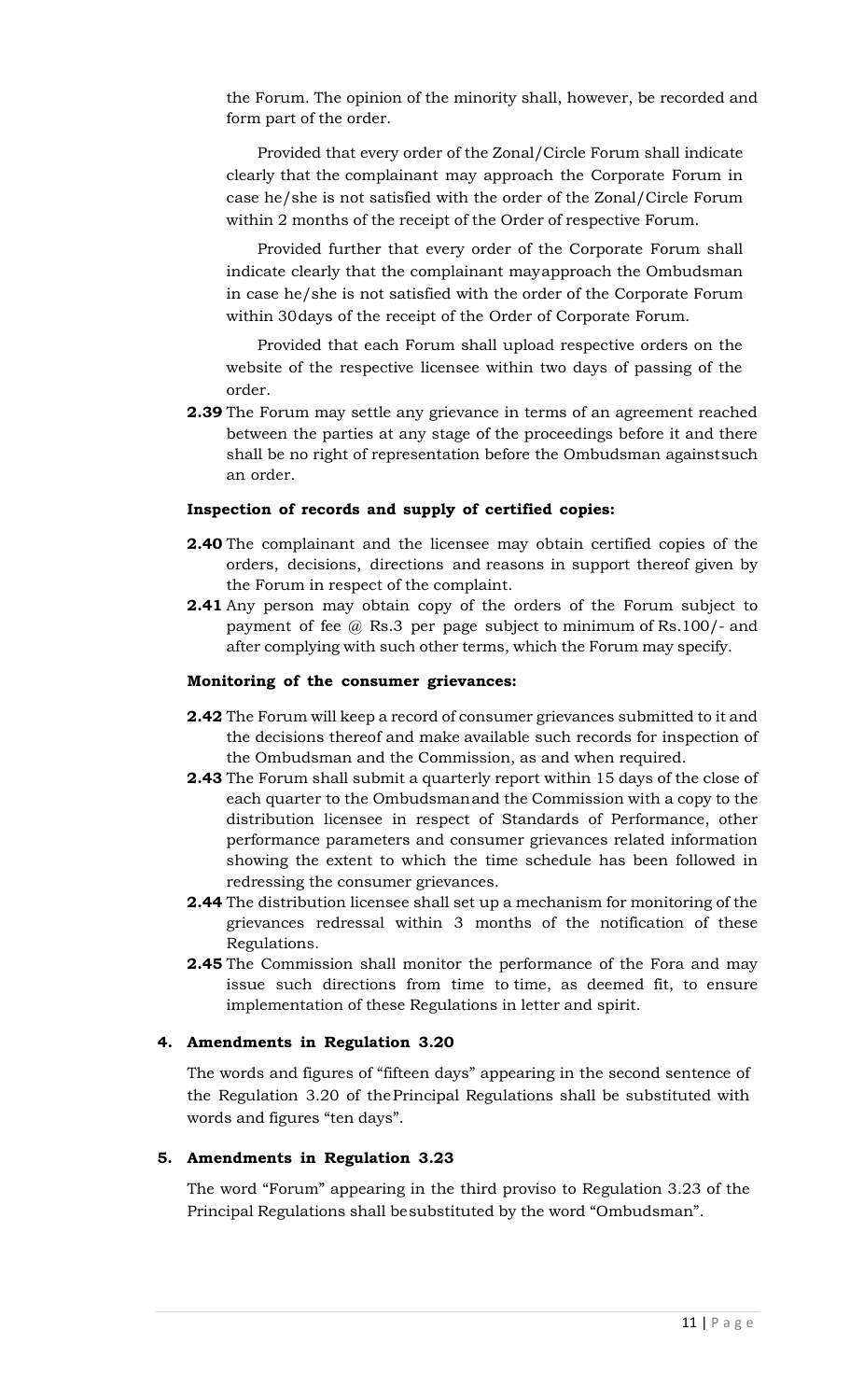the Forum. The opinion of the minority shall, however, be recorded and form part of the order.

Provided that every order of the Zonal/Circle Forum shall indicate clearly that the complainant may approach the Corporate Forum in case he/she is not satisfied with the order of the Zonal/Circle Forum within 2 months of the receipt of the Order of respective Forum.

Provided further that every order of the Corporate Forum shall indicate clearly that the complainant mayapproach the Ombudsman in case he/she is not satisfied with the order of the Corporate Forum within 30days of the receipt of the Order of Corporate Forum.

Provided that each Forum shall upload respective orders on the website of the respective licensee within two days of passing of the order.

**2.39** The Forum may settle any grievance in terms of an agreement reached between the parties at any stage of the proceedings before it and there shall be no right of representation before the Ombudsman againstsuch an order.

### **Inspection of records and supply of certified copies:**

- **2.40** The complainant and the licensee may obtain certified copies of the orders, decisions, directions and reasons in support thereof given by the Forum in respect of the complaint.
- **2.41** Any person may obtain copy of the orders of the Forum subject to payment of fee @ Rs.3 per page subject to minimum of Rs.100/- and after complying with such other terms, which the Forum may specify.

#### **Monitoring of the consumer grievances:**

- **2.42** The Forum will keep a record of consumer grievances submitted to it and the decisions thereof and make available such records for inspection of the Ombudsman and the Commission, as and when required.
- **2.43** The Forum shall submit a quarterly report within 15 days of the close of each quarter to the Ombudsmanand the Commission with a copy to the distribution licensee in respect of Standards of Performance, other performance parameters and consumer grievances related information showing the extent to which the time schedule has been followed in redressing the consumer grievances.
- **2.44** The distribution licensee shall set up a mechanism for monitoring of the grievances redressal within 3 months of the notification of these Regulations.
- **2.45** The Commission shall monitor the performance of the Fora and may issue such directions from time to time, as deemed fit, to ensure implementation of these Regulations in letter and spirit.

### **4. Amendments in Regulation 3.20**

The words and figures of "fifteen days" appearing in the second sentence of the Regulation 3.20 of thePrincipal Regulations shall be substituted with words and figures "ten days".

### **5. Amendments in Regulation 3.23**

The word "Forum" appearing in the third proviso to Regulation 3.23 of the Principal Regulations shall besubstituted by the word "Ombudsman".